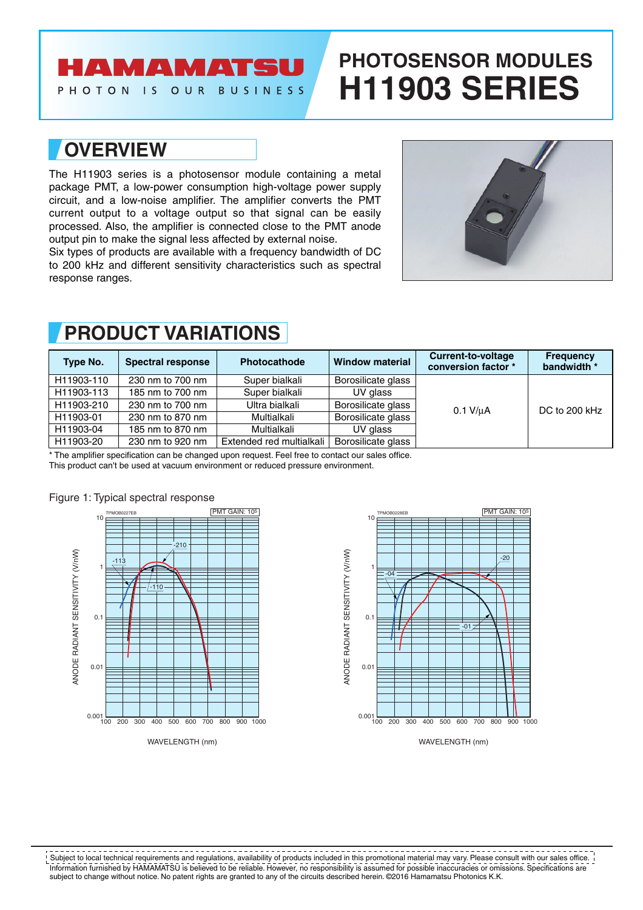## **AMAMATSU**

PHOTON IS OUR BUSINESS

# **PHOTOSENSOR MODULES H11903 SERIES**

### **OVERVIEW**

The H11903 series is a photosensor module containing a metal package PMT, a low-power consumption high-voltage power supply circuit, and a low-noise amplifier. The amplifier converts the PMT current output to a voltage output so that signal can be easily processed. Also, the amplifier is connected close to the PMT anode output pin to make the signal less affected by external noise.

Six types of products are available with a frequency bandwidth of DC to 200 kHz and different sensitivity characteristics such as spectral response ranges.



| Type No.   | Spectral response | Photocathode             | <b>Window material</b> | <b>Current-to-voltage</b><br>conversion factor * | <b>Frequency</b><br>bandwidth * |
|------------|-------------------|--------------------------|------------------------|--------------------------------------------------|---------------------------------|
| H11903-110 | 230 nm to 700 nm  | Super bialkali           | Borosilicate glass     | $0.1$ V/ $\mu$ A                                 | DC to 200 kHz                   |
| H11903-113 | 185 nm to 700 nm  | Super bialkali           | UV glass               |                                                  |                                 |
| H11903-210 | 230 nm to 700 nm  | Ultra bialkali           | Borosilicate glass     |                                                  |                                 |
| H11903-01  | 230 nm to 870 nm  | Multialkali              | Borosilicate glass     |                                                  |                                 |
| H11903-04  | 185 nm to 870 nm  | Multialkali              | UV glass               |                                                  |                                 |
| H11903-20  | 230 nm to 920 nm  | Extended red multialkali | Borosilicate glass     |                                                  |                                 |

### **PRODUCT VARIATIONS**

\* The amplifier specification can be changed upon request. Feel free to contact our sales office.

This product can't be used at vacuum environment or reduced pressure environment.







Information furnished by HAMAMATSU is believed to be reliable. However, no responsibility is assumed for possible inaccuracies or omissions. Specifications are subject to change without notice. No patent rights are granted to any of the circuits described herein. ©2016 Hamamatsu Photonics K.K. Subject to local technical requirements and regulations, availability of products included in this promotional material may vary. Please consult with our sales office.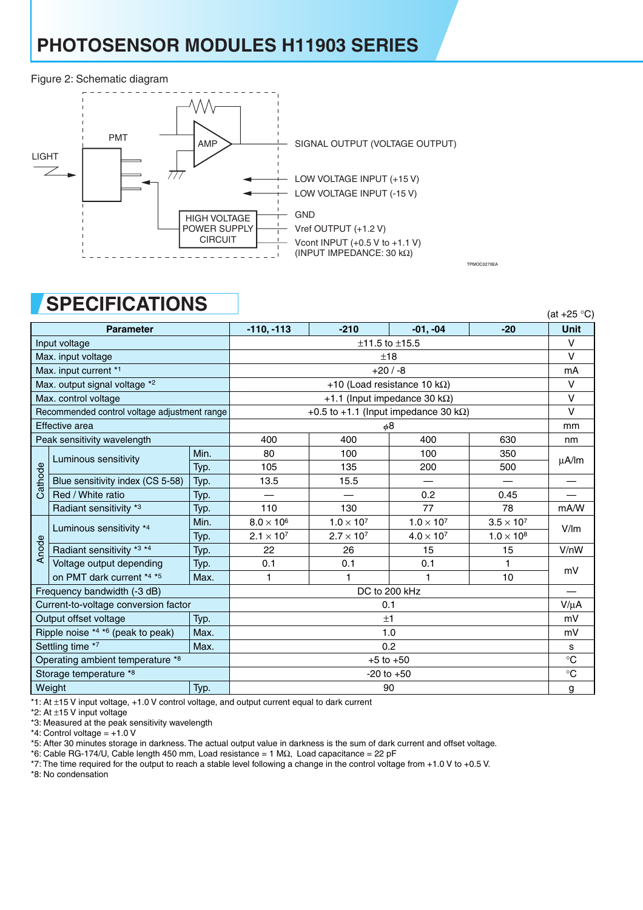## **PHOTOSENSOR MODULES H11903 SERIES**

#### Figure 2: Schematic diagram



### **SPECIFICATIONS**

|                                              | UL LUILIUALIUITU                     |                                               |                                      |                     |                          |                     | (at $+25$ °C) |
|----------------------------------------------|--------------------------------------|-----------------------------------------------|--------------------------------------|---------------------|--------------------------|---------------------|---------------|
|                                              | <b>Parameter</b>                     |                                               | $-110, -113$                         | $-210$              | $-01, -04$               | $-20$               | <b>Unit</b>   |
| Input voltage                                |                                      |                                               | $±11.5$ to $±15.5$                   |                     |                          |                     |               |
| Max. input voltage                           |                                      |                                               | ±18                                  |                     |                          |                     |               |
|                                              | Max. input current *1                |                                               | $+20/ -8$                            |                     |                          |                     |               |
|                                              | Max. output signal voltage *2        |                                               | +10 (Load resistance 10 k $\Omega$ ) |                     |                          |                     |               |
| Max. control voltage                         |                                      | +1.1 (Input impedance 30 k $\Omega$ )         |                                      |                     |                          |                     |               |
| Recommended control voltage adjustment range |                                      | +0.5 to +1.1 (Input impedance 30 k $\Omega$ ) |                                      |                     |                          |                     |               |
| Effective area                               |                                      | φ8                                            |                                      |                     |                          |                     |               |
|                                              | Peak sensitivity wavelength          |                                               | 400                                  | 400                 | 400                      | 630                 | nm            |
|                                              | Luminous sensitivity                 | Min.                                          | 80                                   | 100                 | 100                      | 350                 | $\mu$ A/lm    |
|                                              |                                      | Typ.                                          | 105                                  | 135                 | 200                      | 500                 |               |
| Cathode                                      | Blue sensitivity index (CS 5-58)     | Typ.                                          | 13.5                                 | 15.5                | $\overline{\phantom{0}}$ |                     |               |
|                                              | Red / White ratio                    | Typ.                                          |                                      |                     | 0.2                      | 0.45                |               |
|                                              | Radiant sensitivity *3               | Typ.                                          | 110                                  | 130                 | 77                       | 78                  | mA/W          |
|                                              | Luminous sensitivity *4              | Min.                                          | $8.0 \times 10^6$                    | $1.0 \times 10^{7}$ | $1.0 \times 10^{7}$      | $3.5 \times 10^7$   | V/Im          |
|                                              |                                      | Typ.                                          | $2.1 \times 10^7$                    | $2.7 \times 10^{7}$ | $4.0 \times 10^{7}$      | $1.0 \times 10^{8}$ |               |
| Anode                                        | Radiant sensitivity *3 *4            | Typ.                                          | 22                                   | 26                  | 15                       | 15                  | V/nW          |
|                                              | Voltage output depending             | Typ.                                          | 0.1                                  | 0.1                 | 0.1                      | 1                   | mV            |
|                                              | on PMT dark current *4 *5            | Max.                                          | 1                                    | 1                   | 1                        | 10                  |               |
|                                              | Frequency bandwidth (-3 dB)          |                                               | DC to 200 kHz                        |                     |                          |                     |               |
|                                              | Current-to-voltage conversion factor |                                               | 0.1                                  |                     |                          |                     |               |
| Output offset voltage<br>Typ.                |                                      | ±1                                            |                                      |                     |                          |                     |               |
| Ripple noise $*4 *6$ (peak to peak)<br>Max.  |                                      | 1.0                                           |                                      |                     |                          |                     |               |
| Settling time *7<br>Max.                     |                                      | 0.2                                           |                                      |                     |                          |                     |               |
| Operating ambient temperature *8             |                                      | $+5$ to $+50$                                 |                                      |                     |                          |                     |               |
| Storage temperature *8                       |                                      |                                               | $-20$ to $+50$                       |                     |                          |                     |               |
| Weight<br>Typ.                               |                                      | 90                                            |                                      |                     |                          |                     |               |

TPMOC0270EA

\*1: At ±15 V input voltage, +1.0 V control voltage, and output current equal to dark current

\*2: At ±15 V input voltage

\*3: Measured at the peak sensitivity wavelength

 $*4$ : Control voltage =  $+1.0$  V

\*5: After 30 minutes storage in darkness. The actual output value in darkness is the sum of dark current and offset voltage.

\*6: Cable RG-174/U, Cable length 450 mm, Load resistance = 1 MΩ, Load capacitance = 22 pF

\*7: The time required for the output to reach a stable level following a change in the control voltage from +1.0 V to +0.5 V.

\*8: No condensation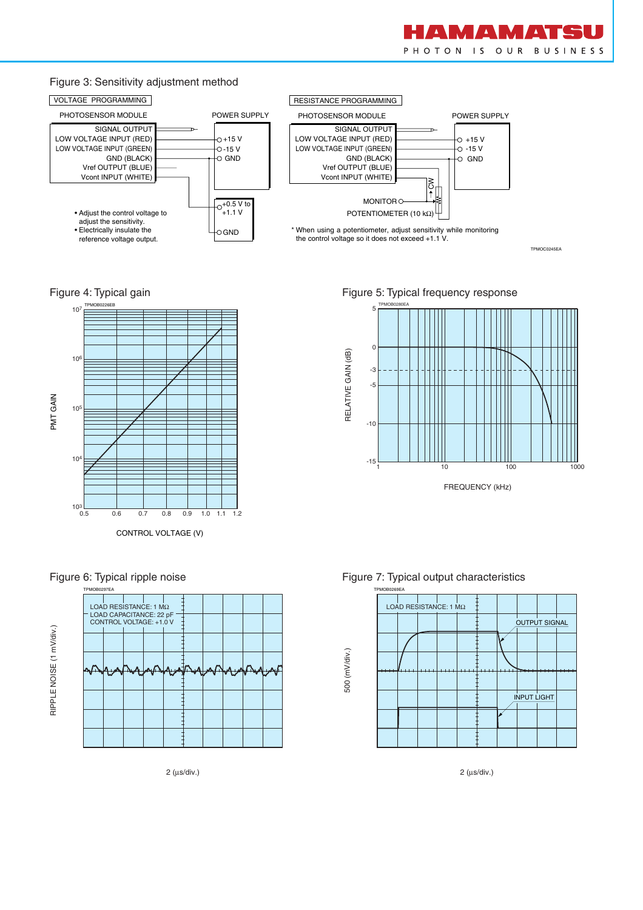

#### Figure 3: Sensitivity adjustment method



TPMOC0245EA

### Figure 4: Typical gain





#### Figure 6: Typical ripple noise

2 (µs/div.)

Figure 5: Typical frequency response







2 (µs/div.)